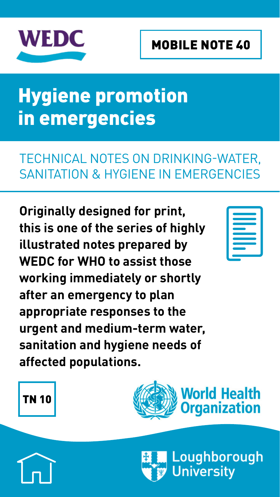<span id="page-0-0"></span>

#### MOBILE NOTE 40

# Hygiene promotion in emergencies

#### [TECHNICAL NOTES ON DRINKING-WATER,](http://wedc.lboro.ac.uk/knowledge/notes_emergencies.html)  [SANITATION & HYGIENE IN EMERGENCIES](http://wedc.lboro.ac.uk/knowledge/notes_emergencies.html)

**Originally designed for print, this is one of the series of highly illustrated notes prepared by WEDC for WHO to assist those working immediately or shortly after an emergency to plan appropriate responses to the urgent and medium-term water, sanitation and hygiene needs of affected populations.**



#### [TN 10](http://wedc.lboro.ac.uk/knowledge/notes_emergencies.html)



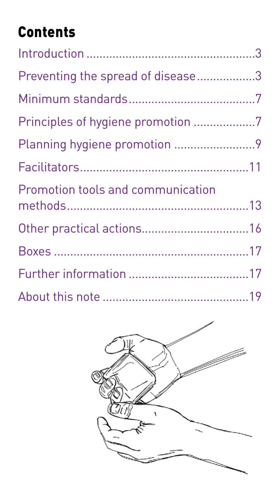# Contents

| Preventing the spread of disease3 |  |
|-----------------------------------|--|
|                                   |  |
| Principles of hygiene promotion 7 |  |
|                                   |  |
|                                   |  |
| Promotion tools and communication |  |
|                                   |  |
|                                   |  |
|                                   |  |
|                                   |  |

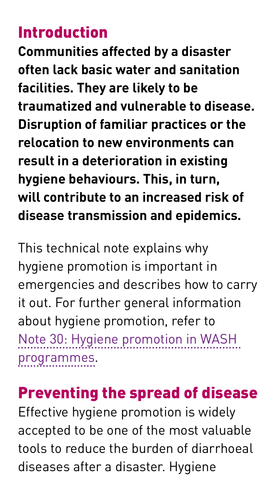#### <span id="page-2-0"></span>Introduction

**Communities affected by a disaster often lack basic water and sanitation facilities. They are likely to be traumatized and vulnerable to disease. Disruption of familiar practices or the relocation to new environments can result in a deterioration in existing hygiene behaviours. This, in turn, will contribute to an increased risk of disease transmission and epidemics.** 

This technical note explains why hygiene promotion is important in emergencies and describes how to carry it out. For further general information about hygiene promotion, refer to [Note 30: Hygiene promotion in WASH](http://wedc.lboro.ac.uk/resources/e/mn/030-Hygiene-promotion.pdf)  [programmes.](http://wedc.lboro.ac.uk/resources/e/mn/030-Hygiene-promotion.pdf)

### Preventing the spread of disease

Effective hygiene promotion is widely accepted to be one of the most valuable tools to reduce the burden of diarrhoeal diseases after a disaster. Hygiene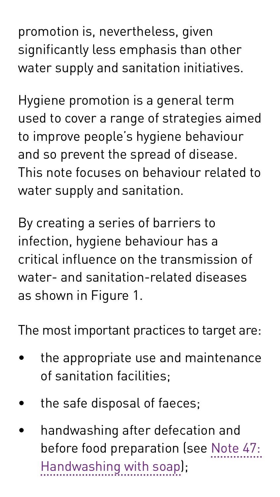promotion is, nevertheless, given significantly less emphasis than other water supply and sanitation initiatives.

Hygiene promotion is a general term used to cover a range of strategies aimed to improve people's hygiene behaviour and so prevent the spread of disease. This note focuses on behaviour related to water supply and sanitation.

By creating a series of barriers to infection, hygiene behaviour has a critical influence on the transmission of water- and sanitation-related diseases as shown in Figure 1.

The most important practices to target are:

- the appropriate use and maintenance of sanitation facilities;
- the safe disposal of faeces;
- handwashing after defecation and before food preparation (see [Note 47:](http://wedc.lboro.ac.uk/resources/e/mn/047-Handwashing-with-soap.pdf)  [Handwashing with soap](http://wedc.lboro.ac.uk/resources/e/mn/047-Handwashing-with-soap.pdf));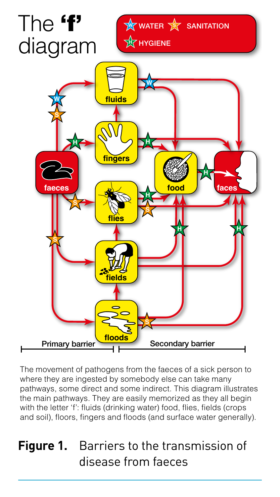

The movement of pathogens from the faeces of a sick person to where they are ingested by somebody else can take many pathways, some direct and some indirect. This diagram illustrates the main pathways. They are easily memorized as they all begin with the letter 'f': fluids (drinking water) food, flies, fields (crops and soil), floors, fingers and floods (and surface water generally).

#### **Figure 1.** Barriers to the transmission of disease from faeces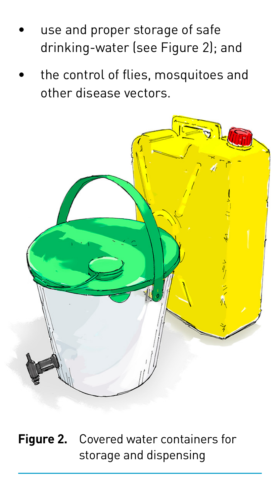- use and proper storage of safe drinking-water (see Figure 2); and
- the control of flies, mosquitoes and other disease vectors.



**Figure 2.** Covered water containers for storage and dispensing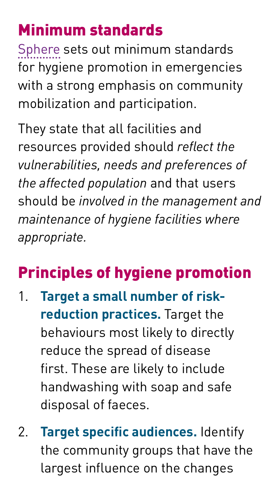## <span id="page-6-0"></span>Minimum standards

[Sphere](http://wedc.lboro.ac.uk/e/mn/015-Disaster-response-Sphere.pdf) sets out minimum standards for hygiene promotion in emergencies with a strong emphasis on community mobilization and participation.

They state that all facilities and resources provided should *reflect the vulnerabilities, needs and preferences of the affected population* and that users should be *involved in the management and maintenance of hygiene facilities where appropriate.*

### Principles of hygiene promotion

- 1. **Target a small number of riskreduction practices.** Target the behaviours most likely to directly reduce the spread of disease first. These are likely to include handwashing with soap and safe disposal of faeces.
- 2. **Target specific audiences.** Identify the community groups that have the largest influence on the changes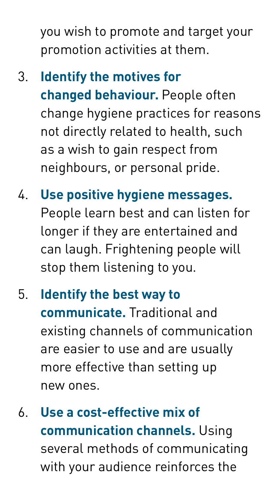you wish to promote and target your promotion activities at them.

- 3. **Identify the motives for changed behaviour.** People often change hygiene practices for reasons not directly related to health, such as a wish to gain respect from neighbours, or personal pride.
- 4. **Use positive hygiene messages.**  People learn best and can listen for longer if they are entertained and can laugh. Frightening people will stop them listening to you.
- 5. **Identify the best way to communicate.** Traditional and existing channels of communication are easier to use and are usually more effective than setting up new ones.
- 6. **Use a cost-effective mix of communication channels.** Using several methods of communicating with your audience reinforces the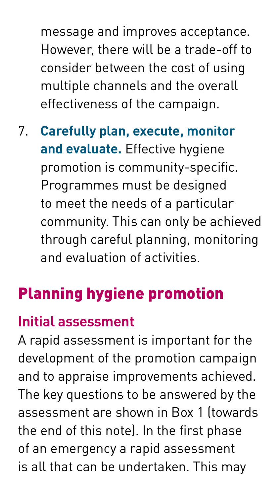<span id="page-8-0"></span>message and improves acceptance. However, there will be a trade-off to consider between the cost of using multiple channels and the overall effectiveness of the campaign.

7. **Carefully plan, execute, monitor and evaluate.** Effective hygiene promotion is community-specific. Programmes must be designed to meet the needs of a particular community. This can only be achieved through careful planning, monitoring and evaluation of activities.

# Planning hygiene promotion

#### **Initial assessment**

A rapid assessment is important for the development of the promotion campaign and to appraise improvements achieved. The key questions to be answered by the assessment are shown in Box 1 (towards the end of this note). In the first phase of an emergency a rapid assessment is all that can be undertaken. This may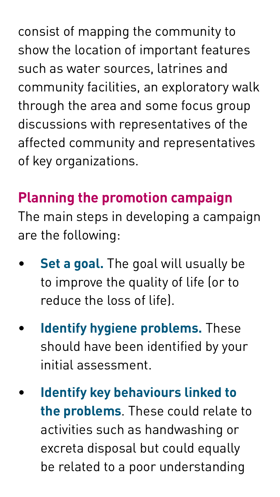consist of mapping the community to show the location of important features such as water sources, latrines and community facilities, an exploratory walk through the area and some focus group discussions with representatives of the affected community and representatives of key organizations.

#### **Planning the promotion campaign**

The main steps in developing a campaign are the following:

- **Set a goal.** The goal will usually be to improve the quality of life (or to reduce the loss of life).
- **Identify hygiene problems.** These should have been identified by your initial assessment.
- **Identify key behaviours linked to the problems**. These could relate to activities such as handwashing or excreta disposal but could equally be related to a poor understanding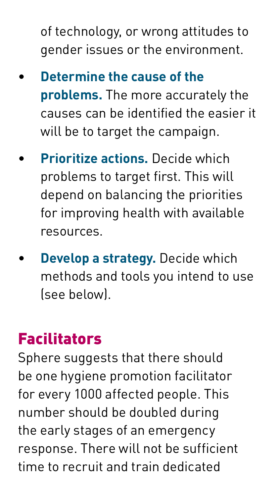<span id="page-10-0"></span>of technology, or wrong attitudes to gender issues or the environment.

- **Determine the cause of the problems.** The more accurately the causes can be identified the easier it will be to target the campaign.
- **Prioritize actions.** Decide which problems to target first. This will depend on balancing the priorities for improving health with available resources.
- **Develop a strategy.** Decide which methods and tools you intend to use (see below).

### Facilitators

Sphere suggests that there should be one hygiene promotion facilitator for every 1000 affected people. This number should be doubled during the early stages of an emergency response. There will not be sufficient time to recruit and train dedicated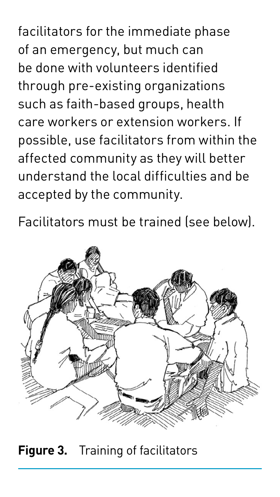facilitators for the immediate phase of an emergency, but much can be done with volunteers identified through pre-existing organizations such as faith-based groups, health care workers or extension workers. If possible, use facilitators from within the affected community as they will better understand the local difficulties and be accepted by the community.

Facilitators must be trained (see below).



**Figure 3.** Training of facilitators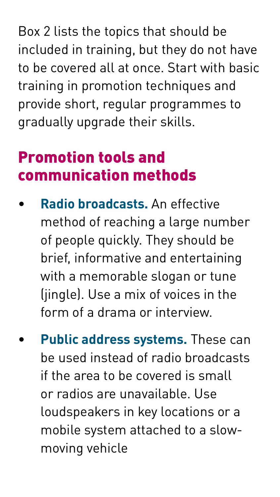<span id="page-12-0"></span>Box 2 lists the topics that should be included in training, but they do not have to be covered all at once. Start with basic training in promotion techniques and provide short, regular programmes to gradually upgrade their skills.

### Promotion tools and communication methods

- **Radio broadcasts.** An effective method of reaching a large number of people quickly. They should be brief, informative and entertaining with a memorable slogan or tune (iingle). Use a mix of voices in the form of a drama or interview.
- **Public address systems.** These can be used instead of radio broadcasts if the area to be covered is small or radios are unavailable. Use loudspeakers in key locations or a mobile system attached to a slowmoving vehicle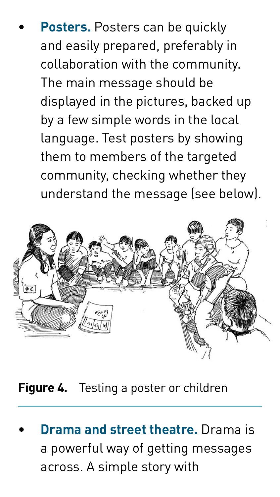**Posters.** Posters can be quickly and easily prepared, preferably in collaboration with the community. The main message should be displayed in the pictures, backed up by a few simple words in the local language. Test posters by showing them to members of the targeted community, checking whether they understand the message (see below).



**Figure 4.** Testing a poster or children

• **Drama and street theatre.** Drama is a powerful way of getting messages across. A simple story with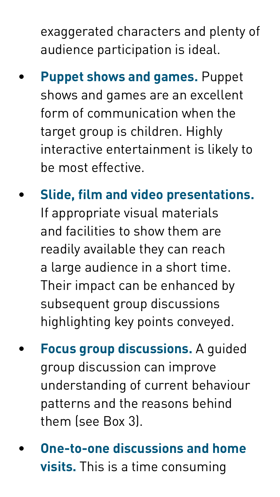exaggerated characters and plenty of audience participation is ideal.

- **Puppet shows and games.** Puppet shows and games are an excellent form of communication when the target group is children. Highly interactive entertainment is likely to be most effective.
- **Slide, film and video presentations.**  If appropriate visual materials and facilities to show them are readily available they can reach a large audience in a short time. Their impact can be enhanced by subsequent group discussions highlighting key points conveyed.
- **Focus group discussions.** A guided group discussion can improve understanding of current behaviour patterns and the reasons behind them (see Box 3).
- **One-to-one discussions and home visits.** This is a time consuming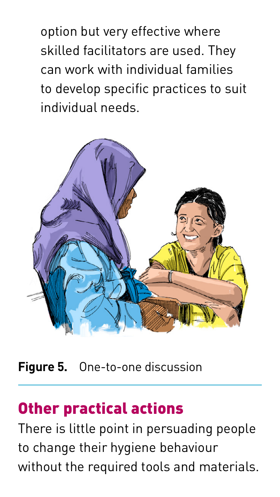<span id="page-15-0"></span>option but very effective where skilled facilitators are used. They can work with individual families to develop specific practices to suit individual needs.



**Figure 5.** One-to-one discussion

#### Other practical actions

There is little point in persuading people to change their hygiene behaviour without the required tools and materials.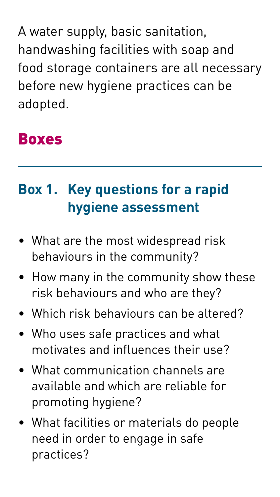<span id="page-16-0"></span>A water supply, basic sanitation, handwashing facilities with soap and food storage containers are all necessary before new hygiene practices can be adopted.

#### Boxes

### **Box 1. Key questions for a rapid hygiene assessment**

- What are the most widespread risk behaviours in the community?
- How many in the community show these risk behaviours and who are they?
- Which risk behaviours can be altered?
- Who uses safe practices and what motivates and influences their use?
- What communication channels are available and which are reliable for promoting hygiene?
- What facilities or materials do people need in order to engage in safe practices?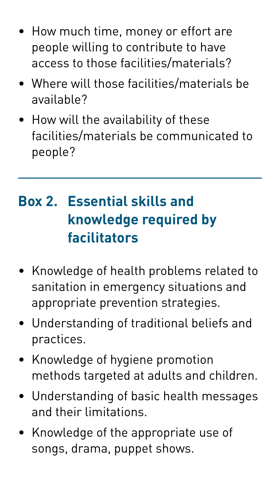- How much time, money or effort are people willing to contribute to have access to those facilities/materials?
- Where will those facilities/materials be available?
- How will the availability of these facilities/materials be communicated to people?

#### **Box 2. Essential skills and knowledge required by facilitators**

- Knowledge of health problems related to sanitation in emergency situations and appropriate prevention strategies.
- Understanding of traditional beliefs and practices.
- Knowledge of hygiene promotion methods targeted at adults and children.
- Understanding of basic health messages and their limitations.
- Knowledge of the appropriate use of songs, drama, puppet shows.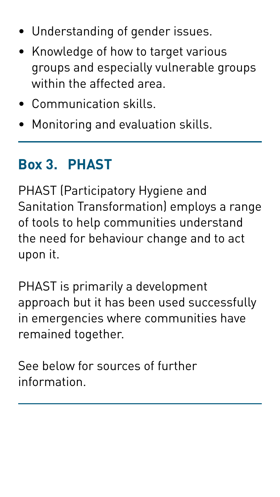- <span id="page-18-0"></span>• Understanding of gender issues.
- Knowledge of how to target various groups and especially vulnerable groups within the affected area.
- Communication skills.
- Monitoring and evaluation skills.

#### **Box 3. PHAST**

PHAST (Participatory Hygiene and Sanitation Transformation) employs a range of tools to help communities understand the need for behaviour change and to act upon it.

PHAST is primarily a development approach but it has been used successfully in emergencies where communities have remained together.

See below for sources of further information.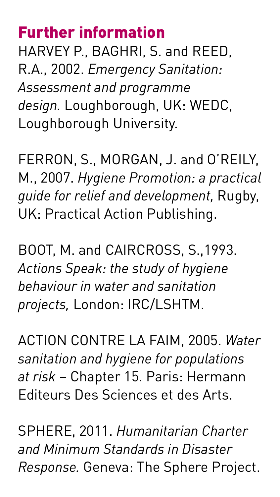### Further information

HARVEY P., BAGHRI, S. and REED, R.A., 2002. *Emergency Sanitation: Assessment and programme design.* Loughborough, UK: WEDC, Loughborough University.

FERRON, S., MORGAN, J. and O'REILY, M., 2007. *Hygiene Promotion: a practical guide for relief and development,* Rugby, UK: Practical Action Publishing.

BOOT, M. and CAIRCROSS, S.,1993. *Actions Speak: the study of hygiene behaviour in water and sanitation projects,* London: IRC/LSHTM.

ACTION CONTRE LA FAIM, 2005. *Water sanitation and hygiene for populations at risk* – Chapter 15. Paris: Hermann Editeurs Des Sciences et des Arts.

SPHERE, 2011. *Humanitarian Charter and Minimum Standards in Disaster Response.* Geneva: The Sphere Project.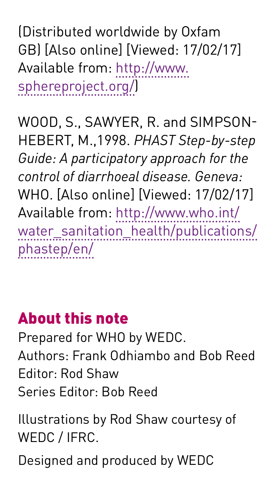(Distributed worldwide by Oxfam GB) [Also online] [Viewed: 17/02/17] Available from: [http://www.](http://www.sphereproject.org/) [sphereproject.org/](http://www.sphereproject.org/))

WOOD, S., SAWYER, R. and SIMPSON-HEBERT, M.,1998. *PHAST Step-by-step Guide: A participatory approach for the control of diarrhoeal disease. Geneva:*  WHO. [Also online] [Viewed: 17/02/17] Available from: [http://www.who.int/](http://www.who.int/water_sanitation_health/publications/phastep/en/) [water\\_sanitation\\_health/publications/](http://www.who.int/water_sanitation_health/publications/phastep/en/) [phastep/en/](http://www.who.int/water_sanitation_health/publications/phastep/en/)

### About this note

Prepared for WHO by WEDC. Authors: Frank Odhiambo and Bob Reed Editor: Rod Shaw Series Editor: Bob Reed

Illustrations by Rod Shaw courtesy of WEDC / IFRC.

Designed and produced by WEDC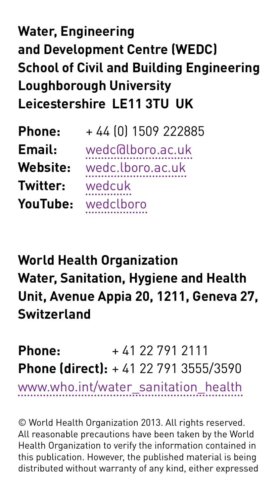### **Water, Engineering and Development Centre (WEDC) School of Civil and Building Engineering Loughborough University Leicestershire LE11 3TU UK**

| Phone:   | +44 (0) 1509 222885 |
|----------|---------------------|
| Email:   | wedc@lboro.ac.uk    |
| Website: | wedc.lboro.ac.uk    |
| Twitter: | wedcuk              |
| YouTube: | wedclboro           |

#### **World Health Organization Water, Sanitation, Hygiene and Health Unit, Avenue Appia 20, 1211, Geneva 27, Switzerland**

**Phone:**  $+41.22.791.2111$ **Phone (direct):** + 41 22 791 3555/3590

[www.who.int/water\\_sanitation\\_health](www.who.int/water_sanitation_health)

© World Health Organization 2013. All rights reserved. All reasonable precautions have been taken by the World Health Organization to verify the information contained in this publication. However, the published material is being distributed without warranty of any kind, either expressed